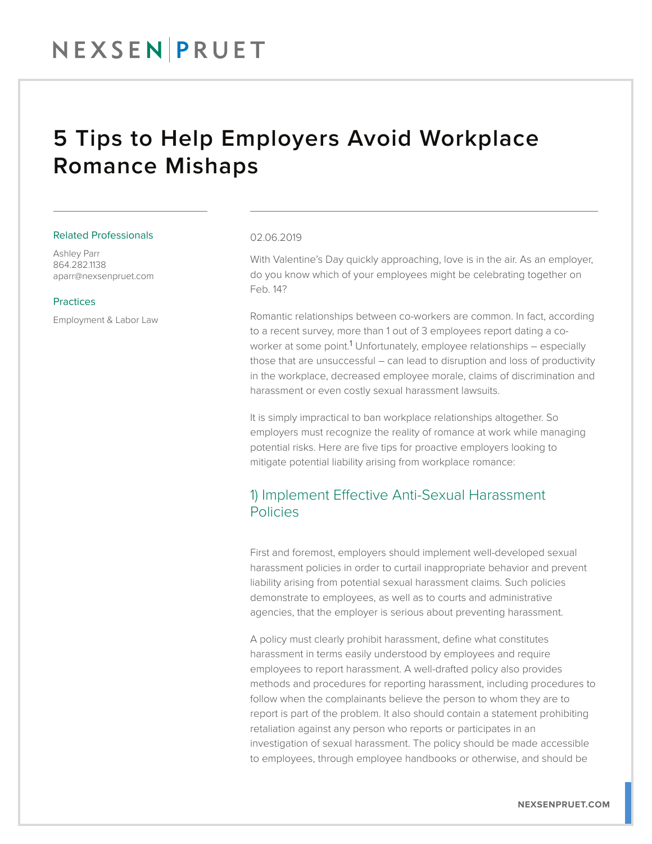## NEXSENPRUET

## 5 Tips to Help Employers Avoid Workplace Romance Mishaps

#### Related Professionals

Ashley Parr 864.282.1138 aparr@nexsenpruet.com

### Practices

Employment & Labor Law

#### 02.06.2019

With Valentine's Day quickly approaching, love is in the air. As an employer, do you know which of your employees might be celebrating together on Feb. 14?

Romantic relationships between co-workers are common. In fact, according to a recent survey, more than 1 out of 3 employees report dating a coworker at some point.<sup>1</sup> Unfortunately, employee relationships – especially those that are unsuccessful – can lead to disruption and loss of productivity in the workplace, decreased employee morale, claims of discrimination and harassment or even costly sexual harassment lawsuits.

It is simply impractical to ban workplace relationships altogether. So employers must recognize the reality of romance at work while managing potential risks. Here are five tips for proactive employers looking to mitigate potential liability arising from workplace romance:

### 1) Implement Effective Anti-Sexual Harassment Policies

First and foremost, employers should implement well-developed sexual harassment policies in order to curtail inappropriate behavior and prevent liability arising from potential sexual harassment claims. Such policies demonstrate to employees, as well as to courts and administrative agencies, that the employer is serious about preventing harassment.

A policy must clearly prohibit harassment, define what constitutes harassment in terms easily understood by employees and require employees to report harassment. A well-drafted policy also provides methods and procedures for reporting harassment, including procedures to follow when the complainants believe the person to whom they are to report is part of the problem. It also should contain a statement prohibiting retaliation against any person who reports or participates in an investigation of sexual harassment. The policy should be made accessible to employees, through employee handbooks or otherwise, and should be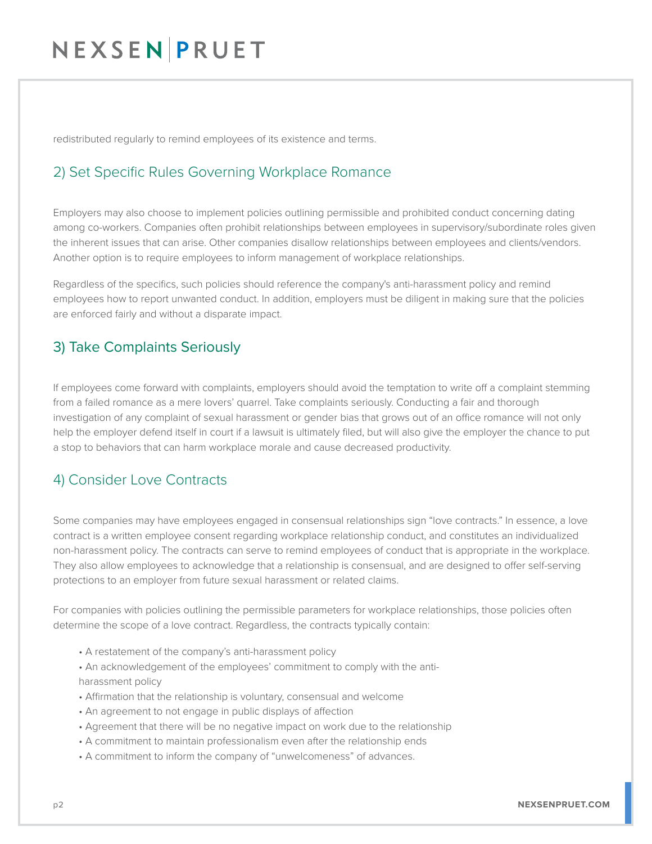# NEXSENPRUET

redistributed regularly to remind employees of its existence and terms.

## 2) Set Specific Rules Governing Workplace Romance

Employers may also choose to implement policies outlining permissible and prohibited conduct concerning dating among co-workers. Companies often prohibit relationships between employees in supervisory/subordinate roles given the inherent issues that can arise. Other companies disallow relationships between employees and clients/vendors. Another option is to require employees to inform management of workplace relationships.

Regardless of the specifics, such policies should reference the company's anti-harassment policy and remind employees how to report unwanted conduct. In addition, employers must be diligent in making sure that the policies are enforced fairly and without a disparate impact.

## 3) Take Complaints Seriously

If employees come forward with complaints, employers should avoid the temptation to write off a complaint stemming from a failed romance as a mere lovers' quarrel. Take complaints seriously. Conducting a fair and thorough investigation of any complaint of sexual harassment or gender bias that grows out of an office romance will not only help the employer defend itself in court if a lawsuit is ultimately filed, but will also give the employer the chance to put a stop to behaviors that can harm workplace morale and cause decreased productivity.

### 4) Consider Love Contracts

Some companies may have employees engaged in consensual relationships sign "love contracts." In essence, a love contract is a written employee consent regarding workplace relationship conduct, and constitutes an individualized non-harassment policy. The contracts can serve to remind employees of conduct that is appropriate in the workplace. They also allow employees to acknowledge that a relationship is consensual, and are designed to offer self-serving protections to an employer from future sexual harassment or related claims.

For companies with policies outlining the permissible parameters for workplace relationships, those policies often determine the scope of a love contract. Regardless, the contracts typically contain:

- A restatement of the company's anti-harassment policy
- An acknowledgement of the employees' commitment to comply with the antiharassment policy
- Affirmation that the relationship is voluntary, consensual and welcome
- An agreement to not engage in public displays of affection
- Agreement that there will be no negative impact on work due to the relationship
- A commitment to maintain professionalism even after the relationship ends
- A commitment to inform the company of "unwelcomeness" of advances.